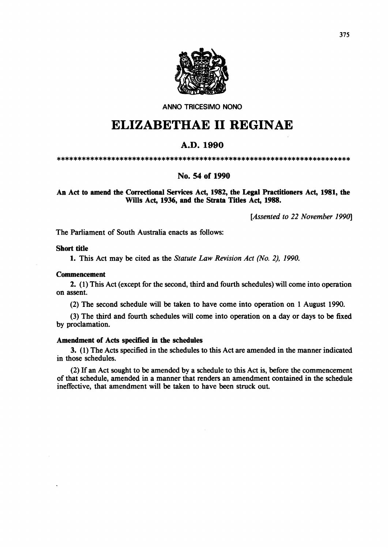

ANNO TRICESIMO NONO

# **ELIZABETHAE 11 REGINAE**

## A.D.1990

\*\*\*\*\*\*\*\*\*\*\*\*\*\*\*\*\*\*\*\*\*\*\*\*\*\*\*\*\*\*\*\*\*\*\*\*\*\*\*\*\*\*\*\*\*\*\*\*\*\*\*\*\*\*\*\*\*\*\*\*\*\*\*\*\*\*\*\*\*\*

### No. S4 of 1990

An Act to amend the Correctional Services Act, 1982, the Legal Practitioners Act, 1981, the Wills Act, 1936, and the Strata Titles Act, 1988.

*[Assented to* 22 *November 1990]* 

The Parliament of South Australia enacts as follows:

### Short title

1. This Act may be cited as the *Statute Law Revision Act (No.* 2), *1990.* 

### **Commencement**

2. (1) This Act (except for the second, third and fourth schedules) will come into operation on assent.

(2) The second schedule will be taken to have come into operation on 1 August 1990.

(3) The third and fourth schedules will come into operation on a day or days to be fixed by proclamation.

### Amendment of Acts specified in the schedules

3. (1) The Acts specified in the schedules to this Act are amended in the manner indicated in those schedules.

(2) If an Act sought to be amended by a schedule to this Act is, before the commencement of that schedule, amended in a manner that renders an amendment contained in the schedule ineffective, that amendment will be taken to have been struck out.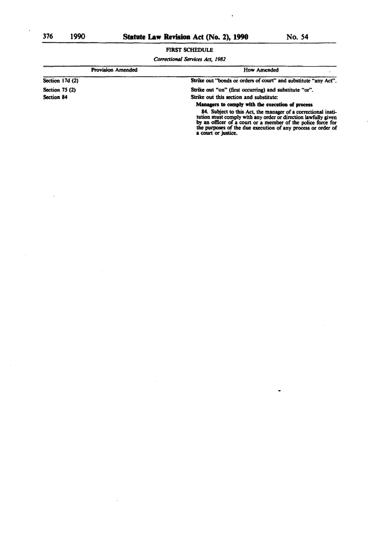# **FIRST SCHEDULE**

 $\ddot{\phantom{0}}$ 

Correctional Services Act, 1982

| <b>Provision Amended</b> | How Amended                                                                                                                                                                                                                                                                           |
|--------------------------|---------------------------------------------------------------------------------------------------------------------------------------------------------------------------------------------------------------------------------------------------------------------------------------|
| Section 17d (2)          | Strike out "bonds or orders of court" and substitute "any Act".                                                                                                                                                                                                                       |
| Section $75(2)$          | Strike out "on" (first occurring) and substitute "or".                                                                                                                                                                                                                                |
| Section 84               | Strike out this section and substitute:                                                                                                                                                                                                                                               |
|                          | Managers to comply with the execution of process                                                                                                                                                                                                                                      |
|                          | 84. Subject to this Act, the manager of a correctional insti-<br>tution must comply with any order or direction lawfully given<br>by an officer of a court or a member of the police force for<br>the purposes of the due execution of any process or order of<br>a court or justice. |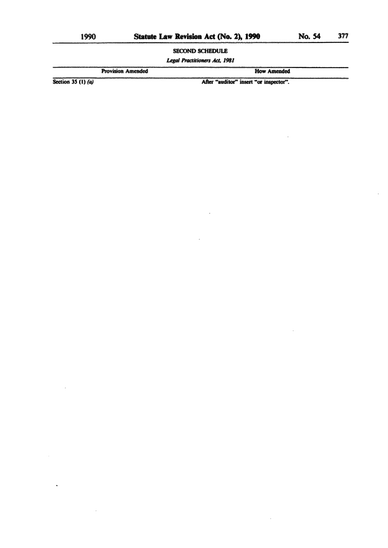$\sim$ 

**SECOND SCHEDULE** 

**Legal Practitioners Act, 1981** 

**Provision Amended** 

**How Amended** 

 $\bar{z}$ 

Section 35 (1)  $(a)$ 

After "auditor" insert "or inspector".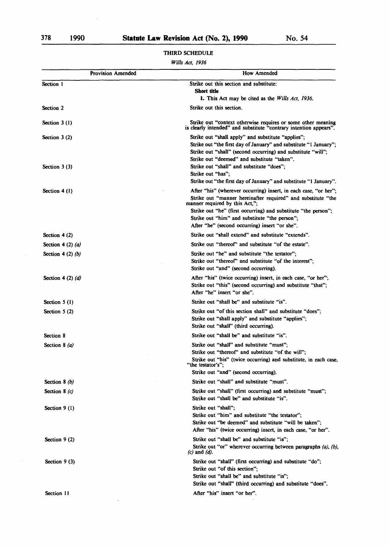Section 11

#### Section I Section 2 Section 3 (I) Section 3 (2) Section 3 (3) Section 4 (1) Section 4 (2) Section 4 (2) (a) Section 4 (2) *(b)*  Section 4 (2) *(d)*  Section *5* (I) Section 5 (2) Section 8 Section 8 (a) Section 8 *(b)*  Section 8 (c) Section 9 (1) Section 9 (2) Section 9 (3) Provision Amended How Amended Strike out this section and substitute: Short title 1. This Act may be cited as the *Wills Act, 1936.*  Strike out this section. Strike out "context otherwise requires or some other meaning is clearly intended" and substitute "contrary intention appears". Strike out "shall apply" and substitute "applies"; Strike out "the first day of January" and substitute "I January"; Strike out "shall" (second occurring) and substitute "will"; Strike out "deemed" and substitute "taken". Strike out "shall" and substitute "does"; Strike out "has"; Strike out "the first day of January" and substitute "I January". After "his" (wherever occurring) insert, in each case, "or her"; Strike out "manner hereinafter required" and substitute "the manner required by this Act,"; Strike out "he" (first occurring) and substitute "the person"; Strike out "him" and substitute "the person"; After "he" (second occurring) insert "or she". Strike out "shall extend" and substitute "extends". Strike out "thereof' and substitute "of the estate". Strike out "he" and substitute "the testator"; Strike out "thereof" and substitute "of the interest"; Strike out "and" (second occurring). After "his" (twice occurring) insert, in each case, "or her"; Strike out "this" (second occurring) and substitute "that"; After "he" insert "or she". Strike out "shall be" and substitute "is". Strike out "of this section shall" and substitute "does"; Strike out "shall apply" and substitute "applies"; Strike out "shall" (third occurring). Strike out "shall be" and substitute "is". Strike out "shall" and substitute "must"; Strike out "thereof' and substitute "of the will"; Strike out "his" (twice occurring) and substitute, in each case, "the testator's"; Strike out "and" (second occurring). Strike out "shall" and substitute "must". Strike out "shall" (first occurring) and substitute "must"; Strike out "shall be" and substitute "is". Strike out "shall"; Strike out "him" and substitute "the testator"; Strike out "be deemed" and substitute "will be taken"; After "his" (twice occurring) insert, in each case, "or her". Strike out "shall be" and substitute "is"; Strike out "or" wherever occurring between paragraphs (a), (b),  $(c)$  and  $(d)$ . Strike out "shall" (first occurring) and substitute "do"; Strike out "of this section"; Strike out "shall be" and substitute "is"; Strike out "shall" (third occurring) and substitute "does". After "his" insert "or her".

### THIRD SCHEDULE

#### *Wills Act, 1936*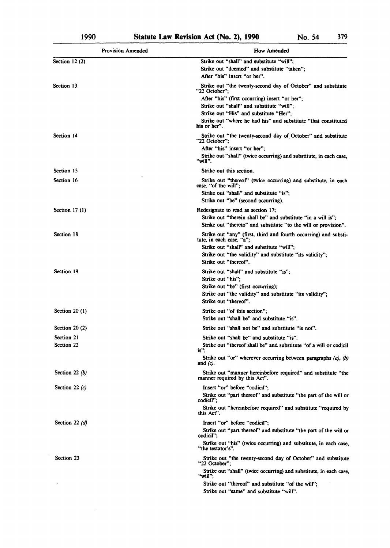$\sim 10$ 

| <b>Provision Amended</b> | How Amended                                                                                                                     |
|--------------------------|---------------------------------------------------------------------------------------------------------------------------------|
| Section $12(2)$          | Strike out "shall" and substitute "will";<br>Strike out "deemed" and substitute "taken":<br>After "his" insert "or her".        |
| Section 13               | Strike out "the twenty-second day of October" and substitute<br>"22 October":                                                   |
|                          | After "his" (first occurring) insert "or her";                                                                                  |
|                          | Strike out "shall" and substitute "will";                                                                                       |
|                          | Strike out "His" and substitute "Her";                                                                                          |
|                          | Strike out "where he had his" and substitute "that constituted<br>his or her".                                                  |
| Section 14               | Strike out "the twenty-second day of October" and substitute<br>"22 October":                                                   |
|                          | After "his" insert "or her";                                                                                                    |
|                          | Strike out "shall" (twice occurring) and substitute, in each case,<br>"will".                                                   |
| Section 15               | Strike out this section.                                                                                                        |
| Section 16               | Strike out "thereof" (twice occurring) and substitute, in each<br>case, "of the will";                                          |
|                          | Strike out "shall" and substitute "is":                                                                                         |
|                          | Strike out "be" (second occurring).                                                                                             |
| Section $17(1)$          | Redesignate to read as section 17;                                                                                              |
|                          | Strike out "therein shall be" and substitute "in a will is".<br>Strike out "thereto" and substitute "to the will or provision". |
| Section 18               | Strike out "any" (first, third and fourth occurring) and substi-<br>tute, in each case, "a";                                    |
|                          | Strike out "shall" and substitute "will";                                                                                       |
|                          | Strike out "the validity" and substitute "its validity";<br>Strike out "thereof".                                               |
| Section 19               | Strike out "shall" and substitute "is";                                                                                         |
|                          | Strike out "his":                                                                                                               |
|                          | Strike out "be" (first occurring);<br>Strike out "the validity" and substitute "its validity";                                  |
|                          | Strike out "thereof".                                                                                                           |
| Section $20(1)$          | Strike out "of this section";                                                                                                   |
|                          | Strike out "shall be" and substitute "is".                                                                                      |
| Section $20(2)$          | Strike out "shall not be" and substitute "is not".                                                                              |
| Section 21<br>Section 22 | Strike out "shall be" and substitute "is".                                                                                      |
|                          | Strike out "thereof shall be" and substitute "of a will or codicil<br>$is$ .                                                    |
|                          | Strike out "or" wherever occurring between paragraphs $(a)$ , $(b)$<br>and $(c)$ .                                              |
| Section 22 $(b)$         | Strike out "manner hereinbefore required" and substitute "the<br>manner required by this Act".                                  |
| Section 22 $(c)$         | Insert "or" before "codicil";                                                                                                   |
|                          | Strike out "part thereof" and substitute "the part of the will or<br>codicil";                                                  |
|                          | Strike out "hereinbefore required" and substitute "required by<br>this Act".                                                    |
| Section 22 $(d)$         | Insert "or" before "codicil";                                                                                                   |
|                          | Strike out "part thereof" and substitute "the part of the will or<br>codicil";                                                  |
|                          | Strike out "his" (twice occurring) and substitute, in each case,<br>"the testator's".                                           |
| Section 23               | Strike out "the twenty-second day of October" and substitute<br>"22 October":                                                   |
|                          | Strike out "shall" (twice occurring) and substitute, in each case,<br>"will";                                                   |
|                          | Strike out "thereof" and substitute "of the will";                                                                              |
|                          | Strike out "same" and substitute "will".                                                                                        |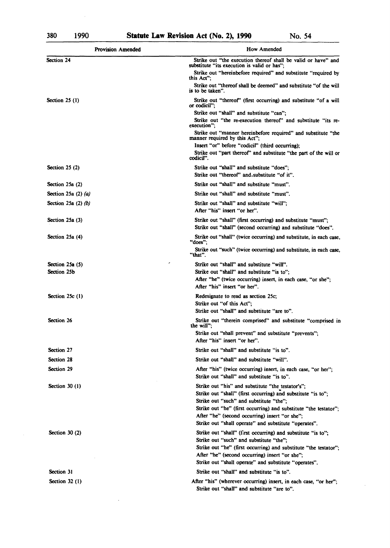$\bar{\beta}$ 

 $\ddot{\phantom{a}}$ 

 $\bar{z}$ 

| <b>Provision Amended</b> | How Amended                                                                                                                       |
|--------------------------|-----------------------------------------------------------------------------------------------------------------------------------|
| Section 24               | Strike out "the execution thereof shall be valid or have" and                                                                     |
|                          | substitute "its execution is valid or has";<br>Strike out "hereinbefore required" and substitute "required by<br>this Act":       |
|                          | Strike out "thereof shall be deemed" and substitute "of the will<br>is to be taken".                                              |
| Section $25(1)$          | Strike out "thereof" (first occurring) and substitute "of a will<br>or codicil";                                                  |
|                          | Strike out "shall" and substitute "can":<br>Strike out "the re-execution thereof" and substitute "its re-<br>execution":          |
|                          | Strike out "manner hereinbefore required" and substitute "the<br>manner required by this Act";                                    |
|                          | Insert "or" before "codicil" (third occurring);<br>Strike out "part thereof" and substitute "the part of the will or<br>codicil". |
| Section $25(2)$          | Strike out "shall" and substitute "does":<br>Strike out "thereof" and substitute "of it".                                         |
| Section 25a (2)          | Strike out "shall" and substitute "must".                                                                                         |
| Section 25a $(2)$ $(a)$  | Strike out "shall" and substitute "must".                                                                                         |
| Section 25a $(2)$ $(b)$  | Strike out "shall" and substitute "will":<br>After "his" insert "or her".                                                         |
| Section 25a (3)          | Strike out "shall" (first occurring) and substitute "must";<br>Strike out "shall" (second occurring) and substitute "does".       |
| Section 25a (4)          | Strike out "shall" (twice occurring) and substitute, in each case,<br>"does":                                                     |
|                          | Strike out "such" (twice occurring) and substitute, in each case,<br>"that".                                                      |
| Section 25a (5)          | Strike out "shall" and substitute "will".                                                                                         |
| Section 25b              | Strike out "shall" and substitute "is to";                                                                                        |
|                          | After "he" (twice occurring) insert, in each case, "or she";<br>After "his" insert "or her".                                      |
| Section $25c(1)$         | Redesignate to read as section 25c;                                                                                               |
|                          | Strike out "of this Act";<br>Strike out "shall" and substitute "are to".                                                          |
| Section 26               | Strike out "therein comprised" and substitute "comprised in                                                                       |
|                          | the will":<br>Strike out "shall prevent" and substitute "prevents";                                                               |
|                          | After "his" insert "or her".                                                                                                      |
| Section 27               | Strike out "shall" and substitute "is to".                                                                                        |
| Section 28               | Strike out "shall" and substitute "will".                                                                                         |
| Section 29               | After "his" (twice occurring) insert, in each case, "or her";<br>Strike out "shall" and substitute "is to".                       |
| Section $30(1)$          | Strike out "his" and substitute "the testator's":<br>Strike out "shall" (first occurring) and substitute "is to";                 |
|                          | Strike out "such" and substitute "the":<br>Strike out "he" (first occurring) and substitute "the testator";                       |
|                          | After "he" (second occurring) insert "or she";                                                                                    |
|                          | Strike out "shall operate" and substitute "operates".                                                                             |
| Section $30(2)$          | Strike out "shall" (first occurring) and substitute "is to";                                                                      |
|                          | Strike out "such" and substitute "the":<br>Strike out "he" (first occurring) and substitute "the testator";                       |
|                          | After "he" (second occurring) insert "or she";                                                                                    |
|                          | Strike out "shall operate" and substitute "operates".                                                                             |
| Section 31               | Strike out "shall" and substitute "is to".                                                                                        |
| Section $32(1)$          | After "his" (wherever occurring) insert, in each case, "or her";                                                                  |
|                          | Strike out "shall" and substitute "are to".                                                                                       |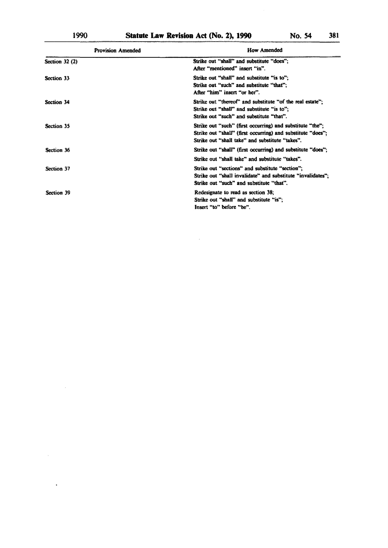$\bar{z}$ 

 $\bar{z}$ 

 $\ddot{\phantom{1}}$ 

| <b>Provision Amended</b> | How Amended                                                                                                                                                                 |
|--------------------------|-----------------------------------------------------------------------------------------------------------------------------------------------------------------------------|
| Section $32(2)$          | Strike out "shall" and substitute "does";<br>After "mentioned" insert "in".                                                                                                 |
| Section 33               | Strike out "shall" and substitute "is to";<br>Strike out "such" and substitute "that":<br>After "him" insert "or her".                                                      |
| Section 34               | Strike out "thereof" and substitute "of the real estate";<br>Strike out "shall" and substitute "is to";<br>Strike out "such" and substitute "that".                         |
| Section 35               | Strike out "such" (first occurring) and substitute "the";<br>Strike out "shall" (first occurring) and substitute "does":<br>Strike out "shall take" and substitute "takes". |
| Section 36               | Strike out "shall" (first occurring) and substitute "does";<br>Strike out "shall take" and substitute "takes".                                                              |
| Section 37               | Strike out "sections" and substitute "section":<br>Strike out "shall invalidate" and substitute "invalidates";<br>Strike out "such" and substitute "that".                  |
| Section 39               | Redesignate to read as section 38:<br>Strike out "shall" and substitute "is";<br>Insert "to" before "be".                                                                   |